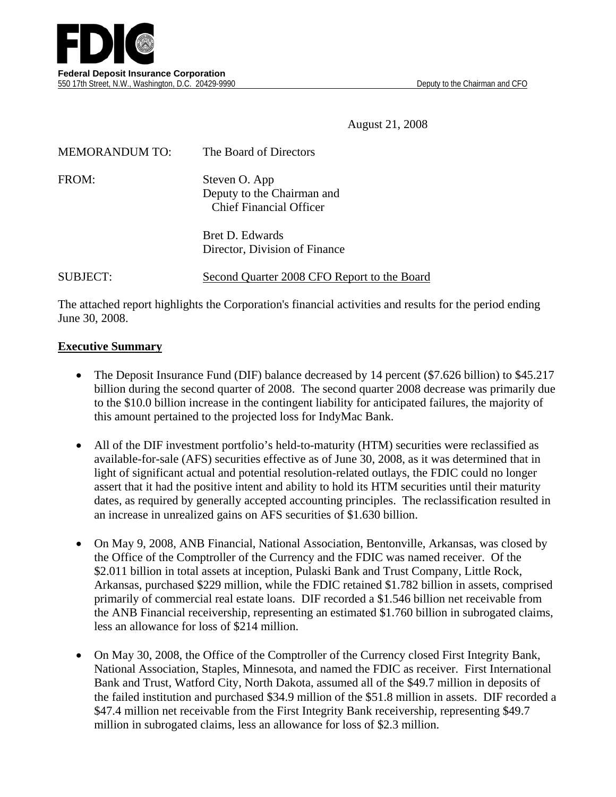

August 21, 2008

| <b>MEMORANDUM TO:</b> | The Board of Directors                                                        |
|-----------------------|-------------------------------------------------------------------------------|
| FROM:                 | Steven O. App<br>Deputy to the Chairman and<br><b>Chief Financial Officer</b> |
|                       | <b>Bret D. Edwards</b><br>Director, Division of Finance                       |

#### SUBJECT: Second Quarter 2008 CFO Report to the Board

The attached report highlights the Corporation's financial activities and results for the period ending June 30, 2008.

#### **Executive Summary**

- The Deposit Insurance Fund (DIF) balance decreased by 14 percent (\$7.626 billion) to \$45.217 billion during the second quarter of 2008. The second quarter 2008 decrease was primarily due to the \$10.0 billion increase in the contingent liability for anticipated failures, the majority of this amount pertained to the projected loss for IndyMac Bank.
- All of the DIF investment portfolio's held-to-maturity (HTM) securities were reclassified as available-for-sale (AFS) securities effective as of June 30, 2008, as it was determined that in light of significant actual and potential resolution-related outlays, the FDIC could no longer assert that it had the positive intent and ability to hold its HTM securities until their maturity dates, as required by generally accepted accounting principles. The reclassification resulted in an increase in unrealized gains on AFS securities of \$1.630 billion.
- On May 9, 2008, ANB Financial, National Association, Bentonville, Arkansas, was closed by the Office of the Comptroller of the Currency and the FDIC was named receiver. Of the \$2.011 billion in total assets at inception, Pulaski Bank and Trust Company, Little Rock, Arkansas, purchased \$229 million, while the FDIC retained \$1.782 billion in assets, comprised primarily of commercial real estate loans. DIF recorded a \$1.546 billion net receivable from the ANB Financial receivership, representing an estimated \$1.760 billion in subrogated claims, less an allowance for loss of \$214 million.
- On May 30, 2008, the Office of the Comptroller of the Currency closed First Integrity Bank, National Association, Staples, Minnesota, and named the FDIC as receiver. First International Bank and Trust, Watford City, North Dakota, assumed all of the \$49.7 million in deposits of the failed institution and purchased \$34.9 million of the \$51.8 million in assets. DIF recorded a \$47.4 million net receivable from the First Integrity Bank receivership, representing \$49.7 million in subrogated claims, less an allowance for loss of \$2.3 million.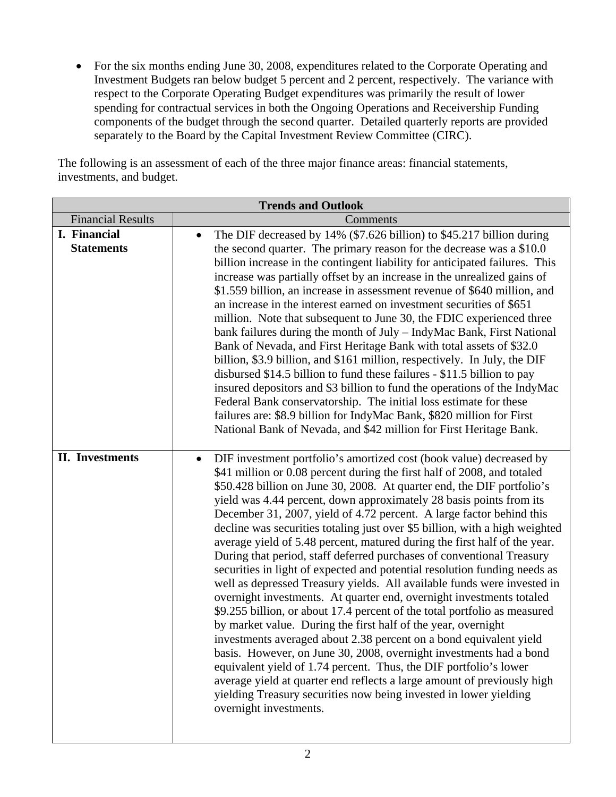• For the six months ending June 30, 2008, expenditures related to the Corporate Operating and Investment Budgets ran below budget 5 percent and 2 percent, respectively. The variance with respect to the Corporate Operating Budget expenditures was primarily the result of lower spending for contractual services in both the Ongoing Operations and Receivership Funding components of the budget through the second quarter. Detailed quarterly reports are provided separately to the Board by the Capital Investment Review Committee (CIRC).

The following is an assessment of each of the three major finance areas: financial statements, investments, and budget.

|                          | <b>Trends and Outlook</b>                                                                   |
|--------------------------|---------------------------------------------------------------------------------------------|
| <b>Financial Results</b> | Comments                                                                                    |
| I. Financial             | The DIF decreased by 14% (\$7.626 billion) to \$45.217 billion during<br>$\bullet$          |
| <b>Statements</b>        | the second quarter. The primary reason for the decrease was a \$10.0                        |
|                          | billion increase in the contingent liability for anticipated failures. This                 |
|                          | increase was partially offset by an increase in the unrealized gains of                     |
|                          | \$1.559 billion, an increase in assessment revenue of \$640 million, and                    |
|                          | an increase in the interest earned on investment securities of \$651                        |
|                          | million. Note that subsequent to June 30, the FDIC experienced three                        |
|                          | bank failures during the month of July - IndyMac Bank, First National                       |
|                          | Bank of Nevada, and First Heritage Bank with total assets of \$32.0                         |
|                          | billion, \$3.9 billion, and \$161 million, respectively. In July, the DIF                   |
|                          | disbursed \$14.5 billion to fund these failures - \$11.5 billion to pay                     |
|                          | insured depositors and \$3 billion to fund the operations of the IndyMac                    |
|                          | Federal Bank conservatorship. The initial loss estimate for these                           |
|                          | failures are: \$8.9 billion for IndyMac Bank, \$820 million for First                       |
|                          | National Bank of Nevada, and \$42 million for First Heritage Bank.                          |
|                          |                                                                                             |
| <b>II.</b> Investments   | DIF investment portfolio's amortized cost (book value) decreased by<br>$\bullet$            |
|                          | \$41 million or 0.08 percent during the first half of 2008, and totaled                     |
|                          | \$50.428 billion on June 30, 2008. At quarter end, the DIF portfolio's                      |
|                          | yield was 4.44 percent, down approximately 28 basis points from its                         |
|                          | December 31, 2007, yield of 4.72 percent. A large factor behind this                        |
|                          | decline was securities totaling just over \$5 billion, with a high weighted                 |
|                          | average yield of 5.48 percent, matured during the first half of the year.                   |
|                          | During that period, staff deferred purchases of conventional Treasury                       |
|                          | securities in light of expected and potential resolution funding needs as                   |
|                          | well as depressed Treasury yields. All available funds were invested in                     |
|                          | overnight investments. At quarter end, overnight investments totaled                        |
|                          | \$9.255 billion, or about 17.4 percent of the total portfolio as measured                   |
|                          | by market value. During the first half of the year, overnight                               |
|                          | investments averaged about 2.38 percent on a bond equivalent yield                          |
|                          | basis. However, on June 30, 2008, overnight investments had a bond                          |
|                          | equivalent yield of 1.74 percent. Thus, the DIF portfolio's lower                           |
|                          | average yield at quarter end reflects a large amount of previously high                     |
|                          | yielding Treasury securities now being invested in lower yielding<br>overnight investments. |
|                          |                                                                                             |
|                          |                                                                                             |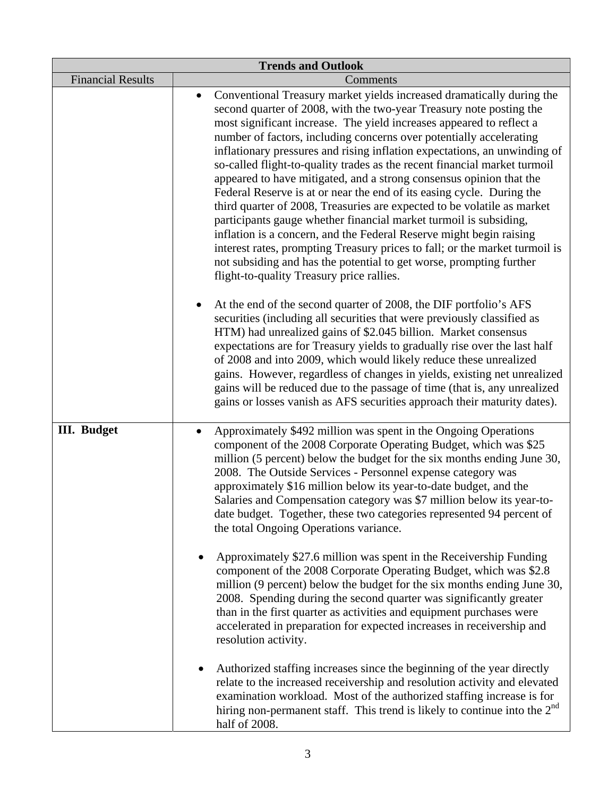|                          | <b>Trends and Outlook</b>                                                                                                                                                                                                                                                                                                                                                                                                                                                                                                                                                                                                                                                                                                                                                                                                                                                                                                                                                                                                                                                                                                                                                                                                                                                                                                                                                                                                                                                                                                                                                                                                                             |
|--------------------------|-------------------------------------------------------------------------------------------------------------------------------------------------------------------------------------------------------------------------------------------------------------------------------------------------------------------------------------------------------------------------------------------------------------------------------------------------------------------------------------------------------------------------------------------------------------------------------------------------------------------------------------------------------------------------------------------------------------------------------------------------------------------------------------------------------------------------------------------------------------------------------------------------------------------------------------------------------------------------------------------------------------------------------------------------------------------------------------------------------------------------------------------------------------------------------------------------------------------------------------------------------------------------------------------------------------------------------------------------------------------------------------------------------------------------------------------------------------------------------------------------------------------------------------------------------------------------------------------------------------------------------------------------------|
| <b>Financial Results</b> | Comments                                                                                                                                                                                                                                                                                                                                                                                                                                                                                                                                                                                                                                                                                                                                                                                                                                                                                                                                                                                                                                                                                                                                                                                                                                                                                                                                                                                                                                                                                                                                                                                                                                              |
|                          | Conventional Treasury market yields increased dramatically during the<br>$\bullet$<br>second quarter of 2008, with the two-year Treasury note posting the<br>most significant increase. The yield increases appeared to reflect a<br>number of factors, including concerns over potentially accelerating<br>inflationary pressures and rising inflation expectations, an unwinding of<br>so-called flight-to-quality trades as the recent financial market turmoil<br>appeared to have mitigated, and a strong consensus opinion that the<br>Federal Reserve is at or near the end of its easing cycle. During the<br>third quarter of 2008, Treasuries are expected to be volatile as market<br>participants gauge whether financial market turmoil is subsiding,<br>inflation is a concern, and the Federal Reserve might begin raising<br>interest rates, prompting Treasury prices to fall; or the market turmoil is<br>not subsiding and has the potential to get worse, prompting further<br>flight-to-quality Treasury price rallies.<br>At the end of the second quarter of 2008, the DIF portfolio's AFS<br>securities (including all securities that were previously classified as<br>HTM) had unrealized gains of \$2.045 billion. Market consensus<br>expectations are for Treasury yields to gradually rise over the last half<br>of 2008 and into 2009, which would likely reduce these unrealized<br>gains. However, regardless of changes in yields, existing net unrealized<br>gains will be reduced due to the passage of time (that is, any unrealized<br>gains or losses vanish as AFS securities approach their maturity dates). |
| <b>III.</b> Budget       | Approximately \$492 million was spent in the Ongoing Operations<br>component of the 2008 Corporate Operating Budget, which was \$25<br>million (5 percent) below the budget for the six months ending June 30,<br>2008. The Outside Services - Personnel expense category was<br>approximately \$16 million below its year-to-date budget, and the<br>Salaries and Compensation category was \$7 million below its year-to-<br>date budget. Together, these two categories represented 94 percent of<br>the total Ongoing Operations variance.<br>Approximately \$27.6 million was spent in the Receivership Funding<br>component of the 2008 Corporate Operating Budget, which was \$2.8<br>million (9 percent) below the budget for the six months ending June 30,<br>2008. Spending during the second quarter was significantly greater<br>than in the first quarter as activities and equipment purchases were<br>accelerated in preparation for expected increases in receivership and<br>resolution activity.<br>Authorized staffing increases since the beginning of the year directly<br>$\bullet$<br>relate to the increased receivership and resolution activity and elevated<br>examination workload. Most of the authorized staffing increase is for<br>hiring non-permanent staff. This trend is likely to continue into the $2nd$<br>half of 2008.                                                                                                                                                                                                                                                                                      |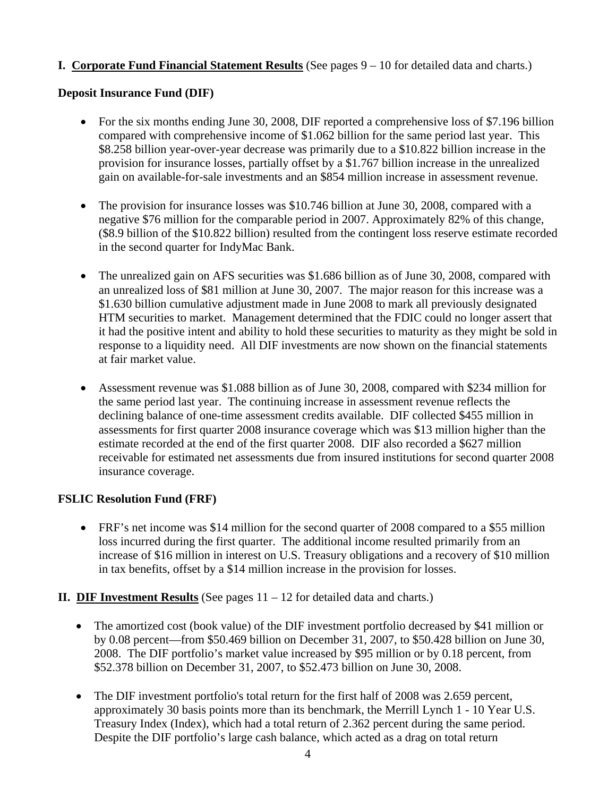## **I. Corporate Fund Financial Statement Results** (See pages 9 – 10 for detailed data and charts.)

#### **Deposit Insurance Fund (DIF)**

- For the six months ending June 30, 2008, DIF reported a comprehensive loss of \$7.196 billion compared with comprehensive income of \$1.062 billion for the same period last year. This \$8.258 billion year-over-year decrease was primarily due to a \$10.822 billion increase in the provision for insurance losses, partially offset by a \$1.767 billion increase in the unrealized gain on available-for-sale investments and an \$854 million increase in assessment revenue.
- The provision for insurance losses was \$10.746 billion at June 30, 2008, compared with a negative \$76 million for the comparable period in 2007. Approximately 82% of this change, (\$8.9 billion of the \$10.822 billion) resulted from the contingent loss reserve estimate recorded in the second quarter for IndyMac Bank.
- The unrealized gain on AFS securities was \$1.686 billion as of June 30, 2008, compared with an unrealized loss of \$81 million at June 30, 2007. The major reason for this increase was a \$1.630 billion cumulative adjustment made in June 2008 to mark all previously designated HTM securities to market. Management determined that the FDIC could no longer assert that it had the positive intent and ability to hold these securities to maturity as they might be sold in response to a liquidity need. All DIF investments are now shown on the financial statements at fair market value.
- Assessment revenue was \$1.088 billion as of June 30, 2008, compared with \$234 million for the same period last year. The continuing increase in assessment revenue reflects the declining balance of one-time assessment credits available. DIF collected \$455 million in assessments for first quarter 2008 insurance coverage which was \$13 million higher than the estimate recorded at the end of the first quarter 2008. DIF also recorded a \$627 million receivable for estimated net assessments due from insured institutions for second quarter 2008 insurance coverage.

## **FSLIC Resolution Fund (FRF)**

• FRF's net income was \$14 million for the second quarter of 2008 compared to a \$55 million loss incurred during the first quarter. The additional income resulted primarily from an increase of \$16 million in interest on U.S. Treasury obligations and a recovery of \$10 million in tax benefits, offset by a \$14 million increase in the provision for losses.

## **II. DIF Investment Results** (See pages  $11 - 12$  for detailed data and charts.)

- The amortized cost (book value) of the DIF investment portfolio decreased by \$41 million or by 0.08 percent—from \$50.469 billion on December 31, 2007, to \$50.428 billion on June 30, 2008. The DIF portfolio's market value increased by \$95 million or by 0.18 percent, from \$52.378 billion on December 31, 2007, to \$52.473 billion on June 30, 2008.
- The DIF investment portfolio's total return for the first half of 2008 was 2.659 percent, approximately 30 basis points more than its benchmark, the Merrill Lynch 1 - 10 Year U.S. Treasury Index (Index), which had a total return of 2.362 percent during the same period. Despite the DIF portfolio's large cash balance, which acted as a drag on total return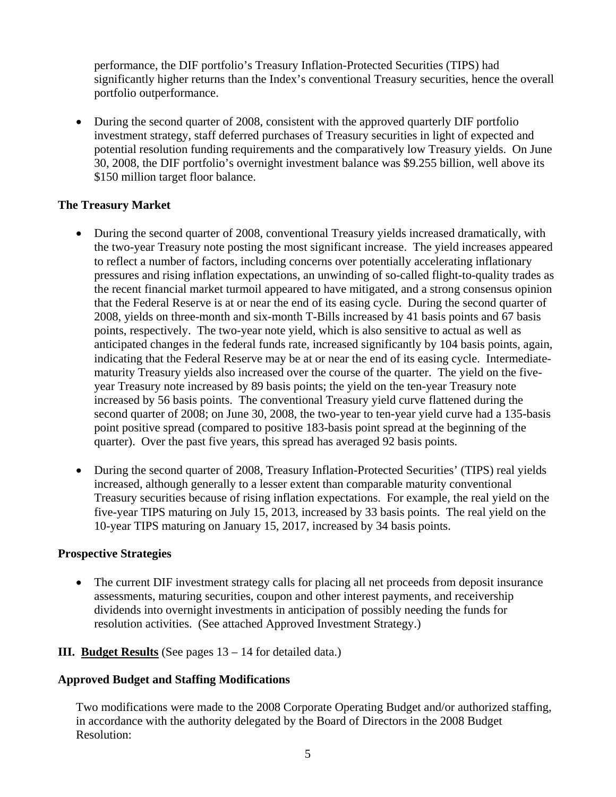performance, the DIF portfolio's Treasury Inflation-Protected Securities (TIPS) had significantly higher returns than the Index's conventional Treasury securities, hence the overall portfolio outperformance.

• During the second quarter of 2008, consistent with the approved quarterly DIF portfolio investment strategy, staff deferred purchases of Treasury securities in light of expected and potential resolution funding requirements and the comparatively low Treasury yields. On June 30, 2008, the DIF portfolio's overnight investment balance was \$9.255 billion, well above its \$150 million target floor balance.

#### **The Treasury Market**

- During the second quarter of 2008, conventional Treasury yields increased dramatically, with the two-year Treasury note posting the most significant increase. The yield increases appeared to reflect a number of factors, including concerns over potentially accelerating inflationary pressures and rising inflation expectations, an unwinding of so-called flight-to-quality trades as the recent financial market turmoil appeared to have mitigated, and a strong consensus opinion that the Federal Reserve is at or near the end of its easing cycle. During the second quarter of 2008, yields on three-month and six-month T-Bills increased by 41 basis points and 67 basis points, respectively. The two-year note yield, which is also sensitive to actual as well as anticipated changes in the federal funds rate, increased significantly by 104 basis points, again, indicating that the Federal Reserve may be at or near the end of its easing cycle. Intermediatematurity Treasury yields also increased over the course of the quarter. The yield on the fiveyear Treasury note increased by 89 basis points; the yield on the ten-year Treasury note increased by 56 basis points. The conventional Treasury yield curve flattened during the second quarter of 2008; on June 30, 2008, the two-year to ten-year yield curve had a 135-basis point positive spread (compared to positive 183-basis point spread at the beginning of the quarter). Over the past five years, this spread has averaged 92 basis points.
- During the second quarter of 2008, Treasury Inflation-Protected Securities' (TIPS) real yields increased, although generally to a lesser extent than comparable maturity conventional Treasury securities because of rising inflation expectations. For example, the real yield on the five-year TIPS maturing on July 15, 2013, increased by 33 basis points. The real yield on the 10-year TIPS maturing on January 15, 2017, increased by 34 basis points.

#### **Prospective Strategies**

• The current DIF investment strategy calls for placing all net proceeds from deposit insurance assessments, maturing securities, coupon and other interest payments, and receivership dividends into overnight investments in anticipation of possibly needing the funds for resolution activities. (See attached Approved Investment Strategy.)

## **III. Budget Results** (See pages 13 – 14 for detailed data.)

#### **Approved Budget and Staffing Modifications**

Two modifications were made to the 2008 Corporate Operating Budget and/or authorized staffing, in accordance with the authority delegated by the Board of Directors in the 2008 Budget Resolution: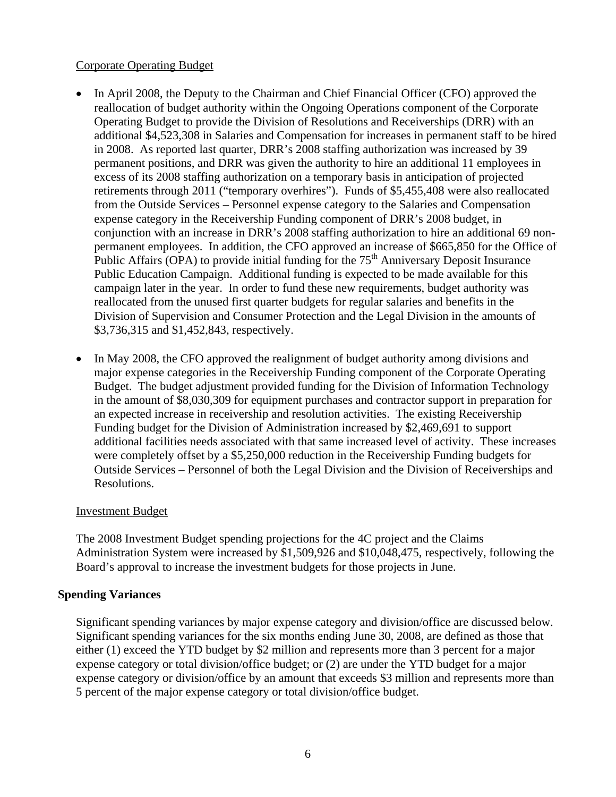#### Corporate Operating Budget

- In April 2008, the Deputy to the Chairman and Chief Financial Officer (CFO) approved the reallocation of budget authority within the Ongoing Operations component of the Corporate Operating Budget to provide the Division of Resolutions and Receiverships (DRR) with an additional \$4,523,308 in Salaries and Compensation for increases in permanent staff to be hired in 2008. As reported last quarter, DRR's 2008 staffing authorization was increased by 39 permanent positions, and DRR was given the authority to hire an additional 11 employees in excess of its 2008 staffing authorization on a temporary basis in anticipation of projected retirements through 2011 ("temporary overhires"). Funds of \$5,455,408 were also reallocated from the Outside Services – Personnel expense category to the Salaries and Compensation expense category in the Receivership Funding component of DRR's 2008 budget, in conjunction with an increase in DRR's 2008 staffing authorization to hire an additional 69 nonpermanent employees. In addition, the CFO approved an increase of \$665,850 for the Office of Public Affairs (OPA) to provide initial funding for the  $75<sup>th</sup>$  Anniversary Deposit Insurance Public Education Campaign. Additional funding is expected to be made available for this campaign later in the year. In order to fund these new requirements, budget authority was reallocated from the unused first quarter budgets for regular salaries and benefits in the Division of Supervision and Consumer Protection and the Legal Division in the amounts of \$3,736,315 and \$1,452,843, respectively.
- In May 2008, the CFO approved the realignment of budget authority among divisions and major expense categories in the Receivership Funding component of the Corporate Operating Budget. The budget adjustment provided funding for the Division of Information Technology in the amount of \$8,030,309 for equipment purchases and contractor support in preparation for an expected increase in receivership and resolution activities. The existing Receivership Funding budget for the Division of Administration increased by \$2,469,691 to support additional facilities needs associated with that same increased level of activity. These increases were completely offset by a \$5,250,000 reduction in the Receivership Funding budgets for Outside Services – Personnel of both the Legal Division and the Division of Receiverships and Resolutions.

## Investment Budget

The 2008 Investment Budget spending projections for the 4C project and the Claims Administration System were increased by \$1,509,926 and \$10,048,475, respectively, following the Board's approval to increase the investment budgets for those projects in June.

## **Spending Variances**

Significant spending variances by major expense category and division/office are discussed below. Significant spending variances for the six months ending June 30, 2008, are defined as those that either (1) exceed the YTD budget by \$2 million and represents more than 3 percent for a major expense category or total division/office budget; or (2) are under the YTD budget for a major expense category or division/office by an amount that exceeds \$3 million and represents more than 5 percent of the major expense category or total division/office budget.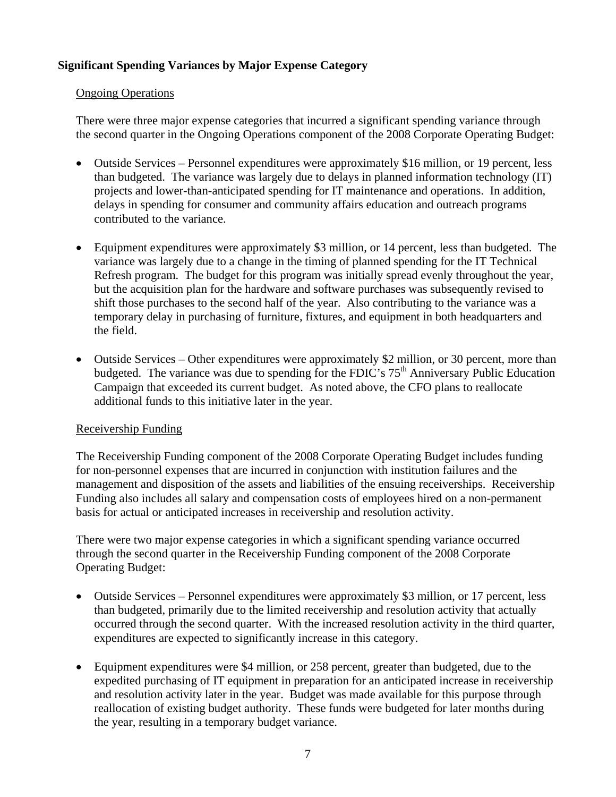## **Significant Spending Variances by Major Expense Category**

#### Ongoing Operations

There were three major expense categories that incurred a significant spending variance through the second quarter in the Ongoing Operations component of the 2008 Corporate Operating Budget:

- Outside Services Personnel expenditures were approximately \$16 million, or 19 percent, less than budgeted. The variance was largely due to delays in planned information technology (IT) projects and lower-than-anticipated spending for IT maintenance and operations. In addition, delays in spending for consumer and community affairs education and outreach programs contributed to the variance.
- Equipment expenditures were approximately \$3 million, or 14 percent, less than budgeted. The variance was largely due to a change in the timing of planned spending for the IT Technical Refresh program. The budget for this program was initially spread evenly throughout the year, but the acquisition plan for the hardware and software purchases was subsequently revised to shift those purchases to the second half of the year. Also contributing to the variance was a temporary delay in purchasing of furniture, fixtures, and equipment in both headquarters and the field.
- Outside Services Other expenditures were approximately \$2 million, or 30 percent, more than budgeted. The variance was due to spending for the FDIC's  $75<sup>th</sup>$  Anniversary Public Education Campaign that exceeded its current budget. As noted above, the CFO plans to reallocate additional funds to this initiative later in the year.

## Receivership Funding

The Receivership Funding component of the 2008 Corporate Operating Budget includes funding for non-personnel expenses that are incurred in conjunction with institution failures and the management and disposition of the assets and liabilities of the ensuing receiverships. Receivership Funding also includes all salary and compensation costs of employees hired on a non-permanent basis for actual or anticipated increases in receivership and resolution activity.

There were two major expense categories in which a significant spending variance occurred through the second quarter in the Receivership Funding component of the 2008 Corporate Operating Budget:

- Outside Services Personnel expenditures were approximately \$3 million, or 17 percent, less than budgeted, primarily due to the limited receivership and resolution activity that actually occurred through the second quarter. With the increased resolution activity in the third quarter, expenditures are expected to significantly increase in this category.
- Equipment expenditures were \$4 million, or 258 percent, greater than budgeted, due to the expedited purchasing of IT equipment in preparation for an anticipated increase in receivership and resolution activity later in the year. Budget was made available for this purpose through reallocation of existing budget authority. These funds were budgeted for later months during the year, resulting in a temporary budget variance.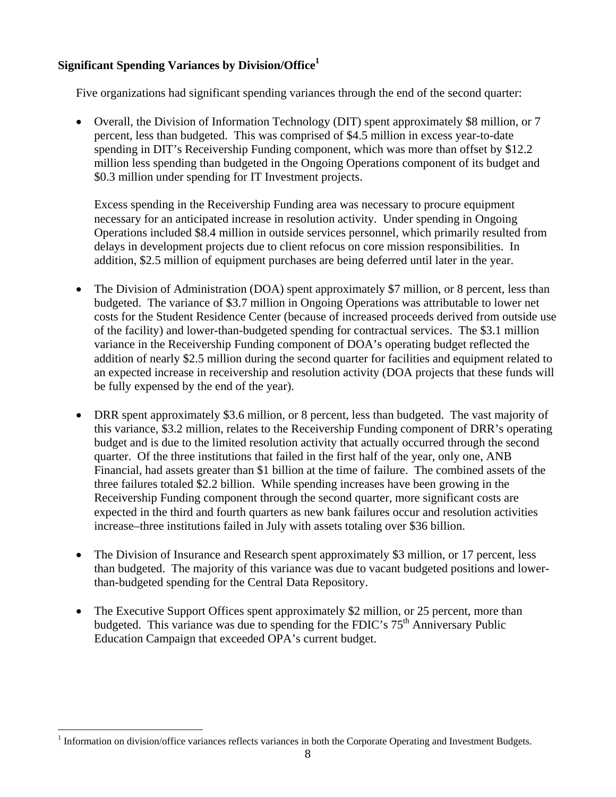## **Significant Spending Variances by Division/Office<sup>1</sup>**

Five organizations had significant spending variances through the end of the second quarter:

• Overall, the Division of Information Technology (DIT) spent approximately \$8 million, or 7 percent, less than budgeted. This was comprised of \$4.5 million in excess year-to-date spending in DIT's Receivership Funding component, which was more than offset by \$12.2 million less spending than budgeted in the Ongoing Operations component of its budget and \$0.3 million under spending for IT Investment projects.

Excess spending in the Receivership Funding area was necessary to procure equipment necessary for an anticipated increase in resolution activity. Under spending in Ongoing Operations included \$8.4 million in outside services personnel, which primarily resulted from delays in development projects due to client refocus on core mission responsibilities. In addition, \$2.5 million of equipment purchases are being deferred until later in the year.

- The Division of Administration (DOA) spent approximately \$7 million, or 8 percent, less than budgeted. The variance of \$3.7 million in Ongoing Operations was attributable to lower net costs for the Student Residence Center (because of increased proceeds derived from outside use of the facility) and lower-than-budgeted spending for contractual services. The \$3.1 million variance in the Receivership Funding component of DOA's operating budget reflected the addition of nearly \$2.5 million during the second quarter for facilities and equipment related to an expected increase in receivership and resolution activity (DOA projects that these funds will be fully expensed by the end of the year).
- DRR spent approximately \$3.6 million, or 8 percent, less than budgeted. The vast majority of this variance, \$3.2 million, relates to the Receivership Funding component of DRR's operating budget and is due to the limited resolution activity that actually occurred through the second quarter. Of the three institutions that failed in the first half of the year, only one, ANB Financial, had assets greater than \$1 billion at the time of failure. The combined assets of the three failures totaled \$2.2 billion. While spending increases have been growing in the Receivership Funding component through the second quarter, more significant costs are expected in the third and fourth quarters as new bank failures occur and resolution activities increase–three institutions failed in July with assets totaling over \$36 billion.
- The Division of Insurance and Research spent approximately \$3 million, or 17 percent, less than budgeted. The majority of this variance was due to vacant budgeted positions and lowerthan-budgeted spending for the Central Data Repository.
- The Executive Support Offices spent approximately \$2 million, or 25 percent, more than budgeted. This variance was due to spending for the FDIC's 75<sup>th</sup> Anniversary Public Education Campaign that exceeded OPA's current budget.

 $\overline{a}$ 

<sup>&</sup>lt;sup>1</sup> Information on division/office variances reflects variances in both the Corporate Operating and Investment Budgets.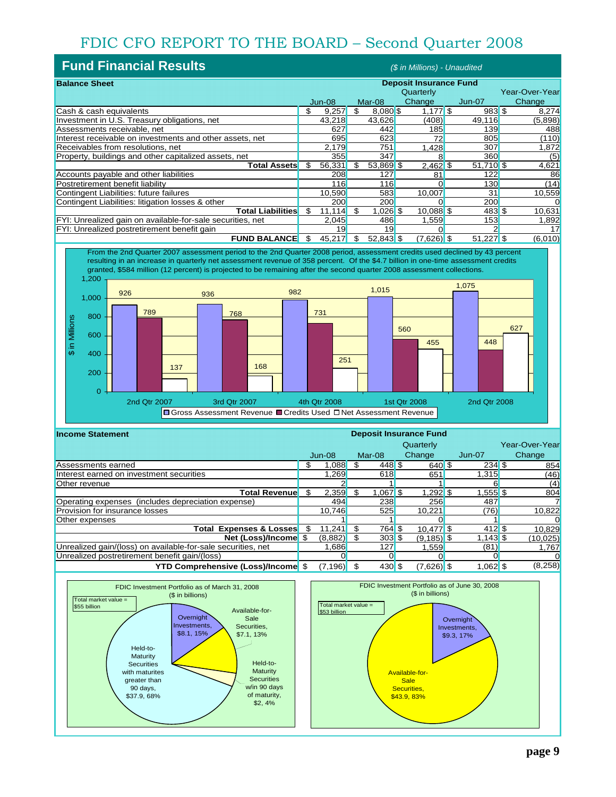## FDIC CFO REPORT TO THE BOARD – Second Quarter 2008

| <b>Fund Financial Results</b><br>(\$ in Millions) - Unaudited |    |        |     |             |                               |                     |                |
|---------------------------------------------------------------|----|--------|-----|-------------|-------------------------------|---------------------|----------------|
| <b>Balance Sheet</b>                                          |    |        |     |             | <b>Deposit Insurance Fund</b> |                     |                |
|                                                               |    |        |     |             | Quarterly                     |                     | Year-Over-Year |
|                                                               |    | Jun-08 |     | Mar-08      | Change                        | $Jun-07$            | Change         |
| Cash & cash equivalents                                       | \$ | 9,257  | \$  | 8,080 \$    | $1,177$ \$                    | 983S                | 8,274          |
| Investment in U.S. Treasury obligations, net                  |    | 43,218 |     | 43,626      | (408)                         | 49,116              | (5,898)        |
| Assessments receivable, net                                   |    | 627    |     | 442         | 185                           | 139                 | 488            |
| Interest receivable on investments and other assets, net      |    | 695    |     | 623         | 72                            | 805                 | (110)          |
| Receivables from resolutions, net                             |    | 2,179  |     | 751         | .428                          | 307                 | 1,872          |
| Property, buildings and other capitalized assets, net         |    | 355    |     | 347         |                               | 360                 | (5)            |
| Total Assets                                                  | \$ | 56,331 | \$. | 53,869 \$   | $2,462$ \$                    | 51,710 \$           | 4,621          |
| Accounts payable and other liabilities                        |    | 208    |     | 127         | 81                            | 122                 | 86             |
| Postretirement benefit liability                              |    | 116    |     | 116         |                               | 130                 | (14)           |
| Contingent Liabilities: future failures                       |    | 10,590 |     | 583         | 10.007                        | 31                  | 10,559         |
| Contingent Liabilities: litigation losses & other             |    | 200    |     | 200         |                               | 200                 |                |
| <b>Total Liabilities</b>                                      | \$ | 11.114 | \$  | $1,026$ \$  | $10,088$ \$                   | $483$ $\frac{6}{5}$ | 10,631         |
| FYI: Unrealized gain on available-for-sale securities, net    |    | 2,045  |     | 486         | 1,559                         | 153                 | 1,892          |
| FYI: Unrealized postretirement benefit gain                   |    | 19     |     | 19          |                               |                     | 17             |
| <b>FUND BALANCE</b>                                           | \$ | 45,217 |     | $52,843$ \$ | $(7,626)$ \$                  | $51,227$ \$         | (6,010)        |



| <b>Income Statement</b>                                      | <b>Deposit Insurance Fund</b> |          |      |                  |               |  |                       |  |                |
|--------------------------------------------------------------|-------------------------------|----------|------|------------------|---------------|--|-----------------------|--|----------------|
|                                                              |                               |          |      |                  | Quarterly     |  |                       |  | Year-Over-Year |
|                                                              |                               | $Jun-08$ |      | Mar-08           | <b>Change</b> |  | Jun-07                |  | Change         |
| Assessments earned                                           | Ж                             | .088     |      | $448$ \$         | $640$ \$      |  | $234$ \$              |  | 854            |
| Interest earned on investment securities                     |                               | .269     |      | 618              | 651           |  | 1.315                 |  | (46)           |
| Other revenue                                                |                               |          |      |                  |               |  |                       |  | (4)            |
| <b>Total Revenue</b>                                         | \$.                           | 2,359    |      | $1,067$ \$       | $1,292$ \$    |  | 1,555 <sup>S</sup>    |  | 804            |
| Operating expenses (includes depreciation expense)           |                               | 494      |      | 238              | 256           |  | 487                   |  |                |
| Provision for insurance losses                               |                               | 10.746   |      | 525              | 10.221        |  | (76)                  |  | 10,822         |
| Other expenses                                               |                               |          |      |                  |               |  |                       |  |                |
| Total Expenses & Losses                                      | \$.                           | 11.241   |      | 764 \$           | $10.477$ \$   |  | $412$ \ $\frac{1}{3}$ |  | 10,829         |
| Net (Loss)/Income \$                                         |                               | (8,882)  |      | $303$ \$         | $(9, 185)$ \$ |  | $1,143$ \$            |  | (10, 025)      |
| Unrealized gain/(loss) on available-for-sale securities, net |                               | .686     |      | 127              | 1,559         |  | (81)                  |  | 1,767          |
| Unrealized postretirement benefit gain/(loss)                |                               |          |      |                  |               |  |                       |  |                |
| <b>YTD Comprehensive (Loss)/Income \$</b>                    |                               | (7, 196) | - \$ | $430$ $\sqrt{3}$ | $(7,626)$ \$  |  | $1,062$ \$            |  | (8,258)        |

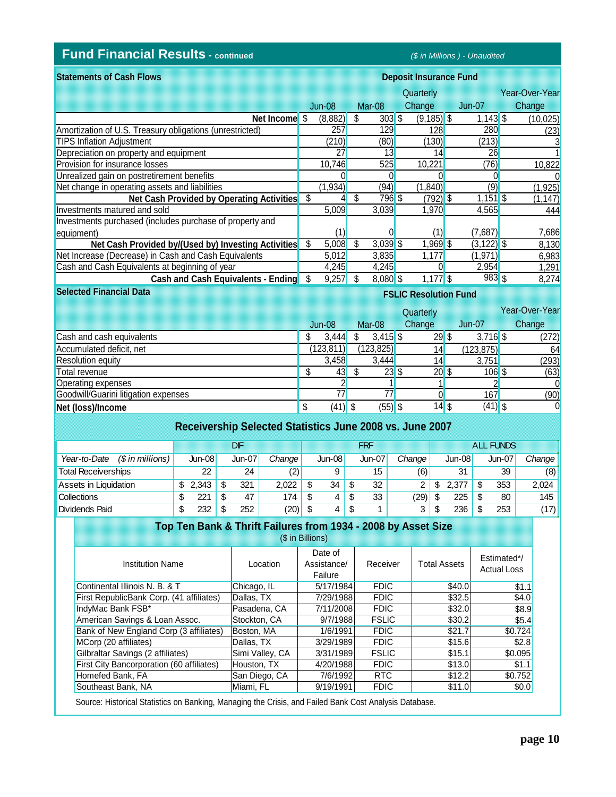## **Fund Financial Results - continued** *(\$ in Millions ) - Unaudited*

**Selected Financial Data**

| <b>Statements of Cash Flows</b>                          | <b>Deposit Insurance Fund</b> |          |     |            |               |  |               |  |                |
|----------------------------------------------------------|-------------------------------|----------|-----|------------|---------------|--|---------------|--|----------------|
|                                                          |                               |          |     |            | Quarterly     |  |               |  | Year-Over-Year |
|                                                          |                               | $Jun-08$ |     | Mar-08     | Change        |  | Jun-07        |  | Change         |
| Net Income $$$                                           |                               | (8,882)  | \$  | $303$ \$   | $(9, 185)$ \$ |  | $1,143$ \$    |  | (10,025)       |
| Amortization of U.S. Treasury obligations (unrestricted) |                               | 257      |     | 129        | 128           |  | 280           |  | (23)           |
| <b>TIPS Inflation Adjustment</b>                         |                               | (210)    |     | (80)       | (130)         |  | (213)         |  |                |
| Depreciation on property and equipment                   |                               | 27       |     | 13         | 14            |  | 26            |  |                |
| <b>Provision for insurance losses</b>                    |                               | 10,746   |     | 525        | 10,221        |  | (76)          |  | 10,822         |
| Unrealized gain on postretirement benefits               |                               |          |     |            |               |  |               |  |                |
| Net change in operating assets and liabilities           |                               | (1, 934) |     | (94)       | (1,840)       |  | (9)           |  | (1, 925)       |
| Net Cash Provided by Operating Activities                | \$                            |          | \$  | 796 \$     | $(792)$ \$    |  | $1,151$ \$    |  | (1, 147)       |
| Investments matured and sold                             |                               | 5,009    |     | 3.039      | 1,970         |  | 4,565         |  | 444            |
| Investments purchased (includes purchase of property and |                               |          |     |            |               |  |               |  |                |
| equipment)                                               |                               |          |     |            | (1)           |  | (7.687)       |  | 7,686          |
| Net Cash Provided by/(Used by) Investing Activities      | S                             | 5,008    | \$. | $3,039$ \$ | $1,969$ \$    |  | $(3, 122)$ \$ |  | 8,130          |
| Net Increase (Decrease) in Cash and Cash Equivalents     |                               | 5,012    |     | 3,835      | 1,177         |  | (1,971)       |  | 6,983          |
| Cash and Cash Equivalents at beginning of year           |                               | 4,245    |     | 4,245      |               |  | 2,954         |  | 1,291          |
| <b>Cash and Cash Equivalents - Ending</b>                | S                             | 9,257    |     | $8,080$ \$ | $1,177$ \$    |  | $983$ \$      |  | 8,274          |

## **FSLIC Resolution Fund**

|                                      |           |            | Quarterly |            | Year-Over-Year |
|--------------------------------------|-----------|------------|-----------|------------|----------------|
|                                      | $Jun-08$  | Mar-08     | Change    | Jun-07     | Change         |
| Cash and cash equivalents            | 3,444     | $3,415$ \$ | $29$ \$   | $3,716$ \$ | (272)          |
| Accumulated deficit, net             | (123,811) | (123, 825) | 14        | (123, 875) | 64             |
| <b>Resolution equity</b>             | 3,458     | 3.444      | 14        | 3,751      | (293)          |
| Total revenue                        | 43        | $23$ \$    | $20$ \$   | $106$ \$   | (63)           |
| <b>Operating expenses</b>            |           |            |           |            |                |
| Goodwill/Guarini litigation expenses | 77        |            |           | 167        | (90)           |
| Net (loss)/Income                    | $(41)$ \$ | $(55)$ \$  | $14$ \$   | $(41)$ \$  | 0              |

| Receivership Selected Statistics June 2008 vs. June 2007 |    |          |      |          |            |      |          |     |               |        |                  |          |     |               |        |
|----------------------------------------------------------|----|----------|------|----------|------------|------|----------|-----|---------------|--------|------------------|----------|-----|---------------|--------|
|                                                          |    |          |      | DF       | <b>FRF</b> |      |          |     |               |        | <b>ALL FUNDS</b> |          |     |               |        |
| $(\$$ in millions)<br>Year-to-Date                       |    | $Jun-08$ |      | $Jun-07$ | Change     |      | $Jun-08$ |     | <b>Jun-07</b> | Change |                  | $Jun-08$ |     | <b>Jun-07</b> | Change |
| <b>Total Receiverships</b>                               |    | 22       |      | 24       | (2)        |      | 9        |     | 15            | (6)    |                  | 31       |     | 39            | (8)    |
| Assets in Liquidation                                    | S  | 2.343    | -S   | 321      | 2.022      | - \$ | 34       | \$. | 32            | 2      | S                | 2.377    | \$. | 353           | 2.024  |
| <b>Collections</b>                                       | \$ | 221      | - \$ | 47       | 174        | - \$ | 4        | \$  | 33            | (29)   | -\$              | 225      | -SS | 80            | 145    |
| Dividends Paid                                           | \$ | 232      |      | 252      | $(20)$ \$  |      | 4        | \$  |               | 3      | \$               | 236      |     | 253           | (17)   |

#### **Top Ten Bank & Thrift Failures from 1934 - 2008 by Asset Size**

|  | (\$ in Billions) |  |
|--|------------------|--|
|  |                  |  |

| <b>Institution Name</b>                          | l ocation.      | Date of<br>Assistance/<br>Failure | Receiver     | <b>Total Assets</b> | Estimated*/<br><b>Actual Loss</b> |
|--------------------------------------------------|-----------------|-----------------------------------|--------------|---------------------|-----------------------------------|
| Continental Illinois N. B. & T                   | Chicago, IL     | 5/17/1984                         | <b>FDIC</b>  | \$40.0              | \$1.1                             |
| First RepublicBank Corp. (41 affiliates)         | Dallas, TX      | 7/29/1988                         | <b>FDIC</b>  | \$32.5              | \$4.0                             |
| IndyMac Bank FSB*                                | Pasadena, CA    | 7/11/2008                         | <b>FDIC</b>  | \$32.0              | \$8.9                             |
| American Savings & Loan Assoc.                   | Stockton, CA    | 9/7/1988                          | <b>FSLIC</b> | \$30.2              | \$5.4                             |
| Bank of New England Corp (3 affiliates)          | Boston, MA      | 1/6/1991                          | <b>FDIC</b>  | \$21.7              | \$0.724                           |
| MCorp (20 affiliates)                            | Dallas, TX      | 3/29/1989                         | <b>FDIC</b>  | \$15.6              | \$2.8                             |
| Gilbraltar Savings (2 affiliates)                | Simi Valley, CA | 3/31/1989                         | <b>FSLIC</b> | \$15.1              | \$0.095                           |
| <b>First City Bancorporation (60 affiliates)</b> | Houston, TX     | 4/20/1988                         | <b>FDIC</b>  | \$13.0              | \$1.1                             |
| Homefed Bank, FA                                 | San Diego, CA   | 7/6/1992                          | <b>RTC</b>   | \$12.2              | \$0.752                           |
| Southeast Bank, NA                               | Miami, FL       | 9/19/1991                         | <b>FDIC</b>  | \$11.0              | \$0.0                             |

Source: Historical Statistics on Banking, Managing the Crisis, and Failed Bank Cost Analysis Database.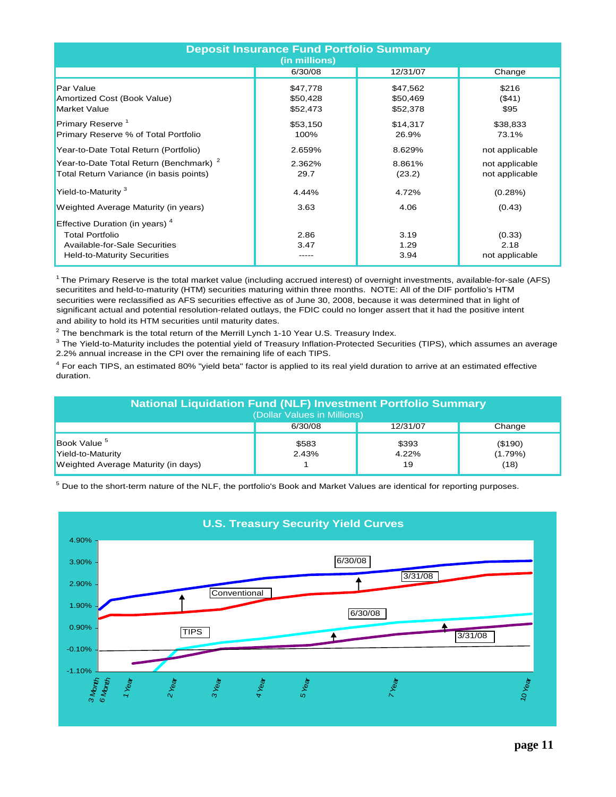| <b>Deposit Insurance Fund Portfolio Summary</b><br>(in millions)                                                                            |              |                      |                                  |  |  |  |  |  |  |
|---------------------------------------------------------------------------------------------------------------------------------------------|--------------|----------------------|----------------------------------|--|--|--|--|--|--|
|                                                                                                                                             | 6/30/08      | 12/31/07             | Change                           |  |  |  |  |  |  |
| Par Value                                                                                                                                   | \$47,778     | \$47,562             | \$216                            |  |  |  |  |  |  |
| Amortized Cost (Book Value)                                                                                                                 | \$50,428     | \$50,469             | ( \$41)                          |  |  |  |  |  |  |
| <b>Market Value</b>                                                                                                                         | \$52,473     | \$52,378             | \$95                             |  |  |  |  |  |  |
| Primary Reserve <sup>1</sup>                                                                                                                | \$53,150     | \$14,317             | \$38,833                         |  |  |  |  |  |  |
| Primary Reserve % of Total Portfolio                                                                                                        | 100%         | 26.9%                | 73.1%                            |  |  |  |  |  |  |
| Year-to-Date Total Return (Portfolio)                                                                                                       | 2.659%       | 8.629%               | not applicable                   |  |  |  |  |  |  |
| Year-to-Date Total Return (Benchmark) <sup>2</sup>                                                                                          | 2.362%       | 8.861%               | not applicable                   |  |  |  |  |  |  |
| Total Return Variance (in basis points)                                                                                                     | 29.7         | (23.2)               | not applicable                   |  |  |  |  |  |  |
| Yield-to-Maturity <sup>3</sup>                                                                                                              | 4.44%        | 4.72%                | (0.28%)                          |  |  |  |  |  |  |
| Weighted Average Maturity (in years)                                                                                                        | 3.63         | 4.06                 | (0.43)                           |  |  |  |  |  |  |
| Effective Duration (in years) <sup>4</sup><br><b>Total Portfolio</b><br>Available-for-Sale Securities<br><b>Held-to-Maturity Securities</b> | 2.86<br>3.47 | 3.19<br>1.29<br>3.94 | (0.33)<br>2.18<br>not applicable |  |  |  |  |  |  |

1 The Primary Reserve is the total market value (including accrued interest) of overnight investments, available-for-sale (AFS) securitites and held-to-maturity (HTM) securities maturing within three months. NOTE: All of the DIF portfolio's HTM securities were reclassified as AFS securities effective as of June 30, 2008, because it was determined that in light of significant actual and potential resolution-related outlays, the FDIC could no longer assert that it had the positive intent and ability to hold its HTM securities until maturity dates.

 $^2$  The benchmark is the total return of the Merrill Lynch 1-10 Year U.S. Treasury Index.

 $^3$  The Yield-to-Maturity includes the potential yield of Treasury Inflation-Protected Securities (TIPS), which assumes an average 2.2% annual increase in the CPI over the remaining life of each TIPS.

<sup>4</sup> For each TIPS, an estimated 80% "yield beta" factor is applied to its real yield duration to arrive at an estimated effective duration.

| National Liquidation Fund (NLF) Investment Portfolio Summary<br>(Dollar Values in Millions) |                |                      |                            |  |  |  |  |  |
|---------------------------------------------------------------------------------------------|----------------|----------------------|----------------------------|--|--|--|--|--|
|                                                                                             | 6/30/08        | 12/31/07             | Change                     |  |  |  |  |  |
| Book Value <sup>5</sup><br>Yield-to-Maturity<br>Weighted Average Maturity (in days)         | \$583<br>2.43% | \$393<br>4.22%<br>19 | (\$190)<br>(1.79%)<br>(18) |  |  |  |  |  |

 $^5$  Due to the short-term nature of the NLF, the portfolio's Book and Market Values are identical for reporting purposes.

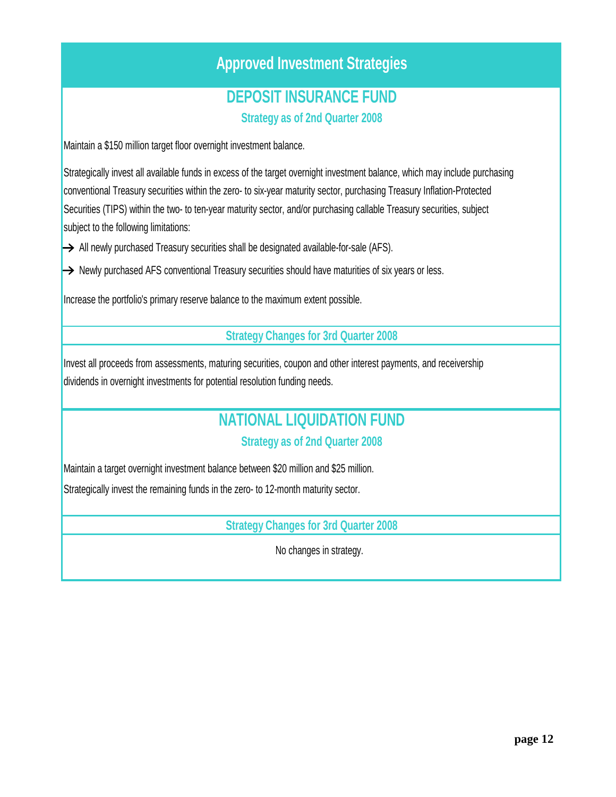# **Approved Investment Strategies**

## **DEPOSIT INSURANCE FUND**

**Strategy as of 2nd Quarter 2008**

Maintain a \$150 million target floor overnight investment balance.

Strategically invest all available funds in excess of the target overnight investment balance, which may include purchasing conventional Treasury securities within the zero- to six-year maturity sector, purchasing Treasury Inflation-Protected Securities (TIPS) within the two- to ten-year maturity sector, and/or purchasing callable Treasury securities, subject subject to the following limitations:

 $\rightarrow$  All newly purchased Treasury securities shall be designated available-for-sale (AFS).

 $\rightarrow$  Newly purchased AFS conventional Treasury securities should have maturities of six years or less.

Increase the portfolio's primary reserve balance to the maximum extent possible.

**Strategy Changes for 3rd Quarter 2008**

Invest all proceeds from assessments, maturing securities, coupon and other interest payments, and receivership dividends in overnight investments for potential resolution funding needs.

# **NATIONAL LIQUIDATION FUND**

## **Strategy as of 2nd Quarter 2008**

Maintain a target overnight investment balance between \$20 million and \$25 million.

Strategically invest the remaining funds in the zero- to 12-month maturity sector.

**Strategy Changes for 3rd Quarter 2008**

No changes in strategy.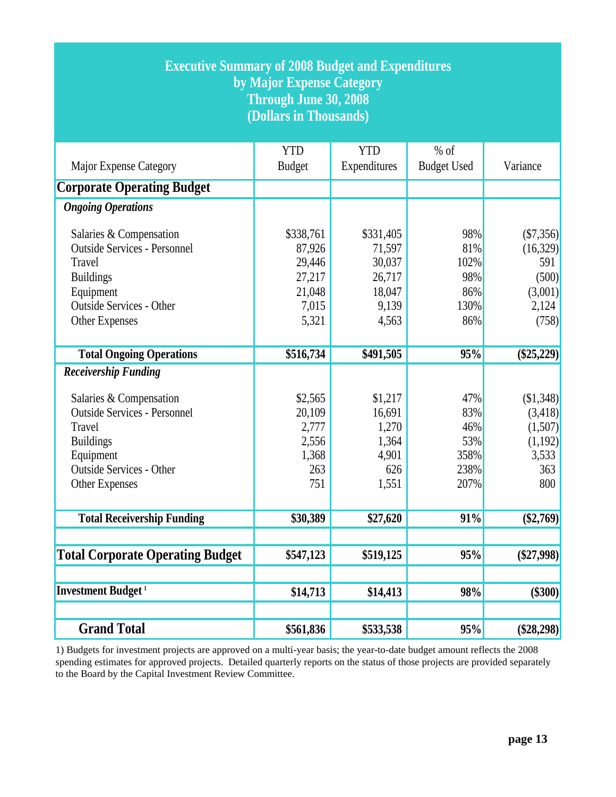| <b>Executive Summary of 2008 Budget and Expenditures</b><br>by Major Expense Category<br>Through June 30, 2008<br>(Dollars in Thousands)                                                             |                                                                     |                                                                     |                                                  |                                                                    |  |  |
|------------------------------------------------------------------------------------------------------------------------------------------------------------------------------------------------------|---------------------------------------------------------------------|---------------------------------------------------------------------|--------------------------------------------------|--------------------------------------------------------------------|--|--|
| Major Expense Category                                                                                                                                                                               | <b>YTD</b><br><b>Budget</b>                                         | <b>YTD</b><br>Expenditures                                          | $%$ of<br><b>Budget Used</b>                     | Variance                                                           |  |  |
| <b>Corporate Operating Budget</b>                                                                                                                                                                    |                                                                     |                                                                     |                                                  |                                                                    |  |  |
| <b>Ongoing Operations</b>                                                                                                                                                                            |                                                                     |                                                                     |                                                  |                                                                    |  |  |
| Salaries & Compensation<br><b>Outside Services - Personnel</b><br>Travel<br><b>Buildings</b><br>Equipment<br><b>Outside Services - Other</b><br>Other Expenses                                       | \$338,761<br>87,926<br>29,446<br>27,217<br>21,048<br>7,015<br>5,321 | \$331,405<br>71,597<br>30,037<br>26,717<br>18,047<br>9,139<br>4,563 | 98%<br>81%<br>102%<br>98%<br>86%<br>130%<br>86%  | (\$7,356)<br>(16,329)<br>591<br>(500)<br>(3,001)<br>2,124<br>(758) |  |  |
| <b>Total Ongoing Operations</b>                                                                                                                                                                      | \$516,734                                                           | \$491,505                                                           | 95%                                              | $(\$25,229)$                                                       |  |  |
| <b>Receivership Funding</b><br>Salaries & Compensation<br><b>Outside Services - Personnel</b><br>Travel<br><b>Buildings</b><br>Equipment<br><b>Outside Services - Other</b><br><b>Other Expenses</b> | \$2,565<br>20,109<br>2,777<br>2,556<br>1,368<br>263<br>751          | \$1,217<br>16,691<br>1,270<br>1,364<br>4,901<br>626<br>1,551        | 47%<br>83%<br>46%<br>53%<br>358%<br>238%<br>207% | (\$1,348)<br>(3,418)<br>(1,507)<br>(1,192)<br>3,533<br>363<br>800  |  |  |
| <b>Total Receivership Funding</b>                                                                                                                                                                    | \$30,389                                                            | \$27,620                                                            | 91%                                              | $(\$2,769)$                                                        |  |  |
| <b>Total Corporate Operating Budget</b>                                                                                                                                                              | \$547,123                                                           | \$519,125                                                           | 95%                                              | $(\$27,998)$                                                       |  |  |
| <b>Investment Budget</b> <sup>1</sup>                                                                                                                                                                | \$14,713                                                            | \$14,413                                                            | 98%                                              | $(\$300)$                                                          |  |  |
| <b>Grand Total</b>                                                                                                                                                                                   | \$561,836                                                           | \$533,538                                                           | 95%                                              | $(\$28,298)$                                                       |  |  |

1) Budgets for investment projects are approved on a multi-year basis; the year-to-date budget amount reflects the 2008 spending estimates for approved projects. Detailed quarterly reports on the status of those projects are provided separately to the Board by the Capital Investment Review Committee.